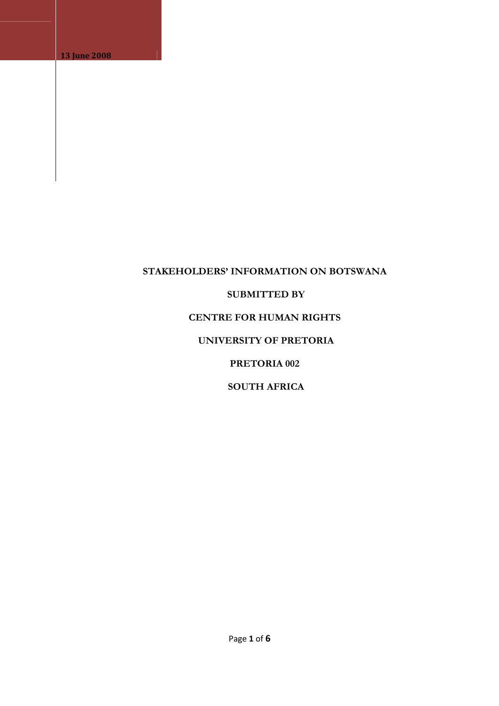# **STAKEHOLDERS' INFORMATION ON BOTSWANA**

#### **SUBMITTED BY**

# **CENTRE FOR HUMAN RIGHTS**

# **UNIVERSITY OF PRETORIA**

# **PRETORIA 002**

# **SOUTH AFRICA**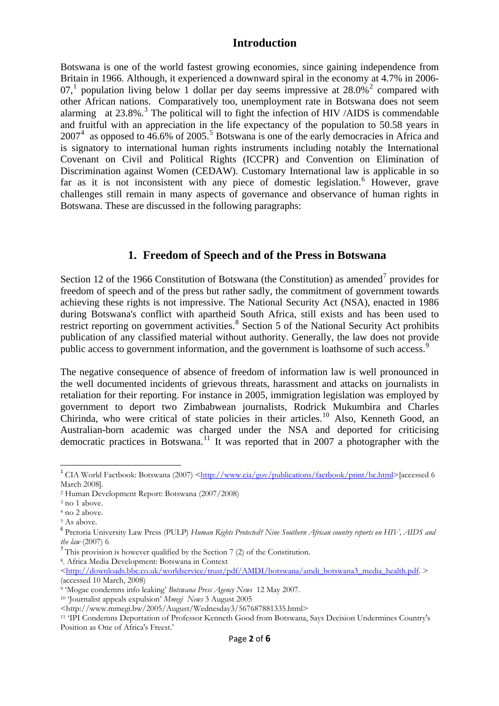### **Introduction**

Botswana is one of the world fastest growing economies, since gaining independence from Britain in 1966. Although, it experienced a downward spiral in the economy at 4.7% in 2006- 07,<sup>[1](#page-1-0)</sup> population living below 1 dollar per day seems impressive at  $28.0\%$  $28.0\%$ <sup>2</sup> compared with other African nations. Comparatively too, unemployment rate in Botswana does not seem alarming at  $23.8\%$  $23.8\%$  $23.8\%$ .<sup>3</sup> The political will to fight the infection of HIV /AIDS is commendable and fruitful with an appreciation in the life expectancy of the population to 50.58 years in  $2007<sup>4</sup>$  $2007<sup>4</sup>$  $2007<sup>4</sup>$  as opposed to  $46.6\%$  of 200[5](#page-1-4).<sup>5</sup> Botswana is one of the early democracies in Africa and is signatory to international human rights instruments including notably the International Covenant on Civil and Political Rights (ICCPR) and Convention on Elimination of Discrimination against Women (CEDAW). Customary International law is applicable in so far as it is not inconsistent with any piece of domestic legislation.<sup>[6](#page-1-5)</sup> However, grave challenges still remain in many aspects of governance and observance of human rights in Botswana. These are discussed in the following paragraphs:

### **1. Freedom of Speech and of the Press in Botswana**

Section 12 of the 1966 Constitution of Botswana (the Constitution) as amended<sup>[7](#page-1-6)</sup> provides for freedom of speech and of the press but rather sadly, the commitment of government towards achieving these rights is not impressive. The National Security Act (NSA), enacted in 1986 during Botswana's conflict with apartheid South Africa, still exists and has been used to restrict reporting on government activities.<sup>[8](#page-1-7)</sup> Section 5 of the National Security Act prohibits publication of any classified material without authority. Generally, the law does not provide public access to government information, and the government is loathsome of such access.<sup>[9](#page-1-8)</sup>

The negative consequence of absence of freedom of information law is well pronounced in the well documented incidents of grievous threats, harassment and attacks on journalists in retaliation for their reporting. For instance in 2005, immigration legislation was employed by government to deport two Zimbabwean journalists, Rodrick Mukumbira and Charles Chirinda, who were critical of state policies in their articles.<sup>[10](#page-1-9)</sup> Also, Kenneth Good, an Australian-born academic was charged under the NSA and deported for criticising democratic practices in Botswana.<sup>[11](#page-1-10)</sup> It was reported that in 2007 a photographer with the

<span id="page-1-7"></span><span id="page-1-6"></span>8. Africa Media Development: Botswana in Context

<span id="page-1-0"></span><sup>&</sup>lt;sup>1</sup> CIA World Factbook: Botswana (2007) [<http://www.cia/gov/publications/factbook/print/bc.html>](http://www.cia/gov/publications/factbook/print/bc.html)[accessed 6] March 2008].

<span id="page-1-1"></span> $^2$  Human Development Report: Botswana (2007/2008) $^3$  no 1 above.

<span id="page-1-3"></span><span id="page-1-2"></span><sup>4</sup> no 2 above.

<span id="page-1-4"></span><sup>5</sup> As above.

<span id="page-1-5"></span><sup>6</sup> Pretoria University Law Press (PULP) *Human Rights Protected? Nine Southern African country reports on HIV, AIDS and the law* (2007) 6<br><sup>7</sup> This provision is however qualified by the Section 7 (2) of the Constitution.

<sup>&</sup>lt;[http://downloads.bbc.co.uk/worldservice/trust/pdf/AMDI/botswana/amdi\\_botswana3\\_media\\_health.pdf](http://downloads.bbc.co.uk/worldservice/trust/pdf/AMDI/botswana/amdi_botswana3_media_health.pdf). > (accessed 10 March, 2008)

<span id="page-1-9"></span>

<span id="page-1-8"></span><sup>&</sup>lt;sup>9</sup> 'Mogae condemns info leaking' *Botswana Press Agency News* 12 May 2007.<br><sup>10</sup> 'Journalist appeals expulsion' *Mmegi News* 3 August 2005<br><http://www.mmegi.bw/2005/August/Wednesday3/567687881335.html>

<span id="page-1-10"></span><sup>&</sup>lt;sup>11</sup> 'IPI Condemns Deportation of Professor Kenneth Good from Botswana, Says Decision Undermines Country's Position as One of Africa's Freest.'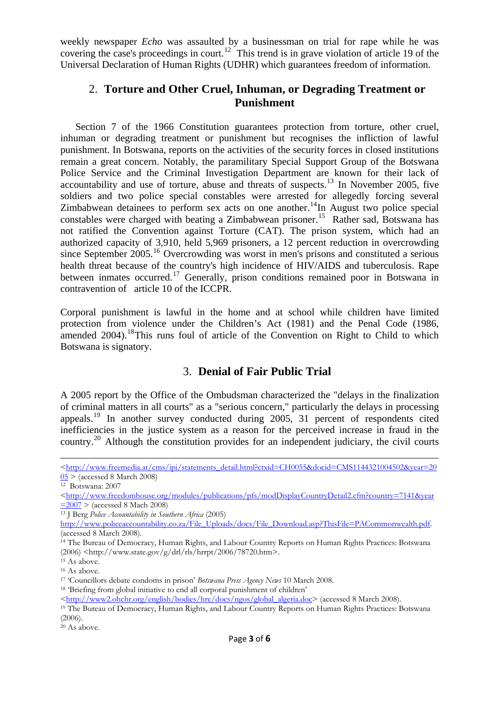weekly newspaper *Echo* was assaulted by a businessman on trial for rape while he was covering the case's proceedings in court.<sup>[12](#page-2-0)</sup> This trend is in grave violation of article 19 of the Universal Declaration of Human Rights (UDHR) which guarantees freedom of information.

# 2. **Torture and Other Cruel, Inhuman, or Degrading Treatment or Punishment**

Section 7 of the 1966 Constitution guarantees protection from torture, other cruel, inhuman or degrading treatment or punishment but recognises the infliction of lawful punishment. In Botswana, reports on the activities of the security forces in closed institutions remain a great concern. Notably, the paramilitary Special Support Group of the Botswana Police Service and the Criminal Investigation Department are known for their lack of accountability and use of torture, abuse and threats of suspects.<sup>[13](#page-2-1)</sup> In November 2005, five soldiers and two police special constables were arrested for allegedly forcing several Zimbabwean detainees to perform sex acts on one another.<sup>[14](#page-2-2)</sup>In August two police special constables were charged with beating a Zimbabwean prisoner.<sup>[15](#page-2-3)</sup> Rather sad, Botswana has not ratified the Convention against Torture (CAT). The prison system, which had an authorized capacity of 3,910, held 5,969 prisoners, a 12 percent reduction in overcrowding since September 2005.<sup>[16](#page-2-4)</sup> Overcrowding was worst in men's prisons and constituted a serious health threat because of the country's high incidence of HIV/AIDS and tuberculosis. Rape between inmates occurred.<sup>[17](#page-2-5)</sup> Generally, prison conditions remained poor in Botswana in contravention of article 10 of the ICCPR.

Corporal punishment is lawful in the home and at school while children have limited protection from violence under the Children's Act (1981) and the Penal Code (1986, amended 2004).<sup>[18](#page-2-6)</sup>This runs foul of article of the Convention on Right to Child to which Botswana is signatory.

# 3. **Denial of Fair Public Trial**

A 2005 report by the Office of the Ombudsman characterized the "delays in the finalization of criminal matters in all courts" as a "serious concern," particularly the delays in processing appeals.[19](#page-2-7) In another survey conducted during 2005, 31 percent of respondents cited inefficiencies in the justice system as a reason for the perceived increase in fraud in the country.<sup>[20](#page-2-8)</sup> Although the constitution provides for an independent judiciary, the civil courts

<span id="page-2-1"></span><sup>13</sup> J Berg *Police Accountability in Southern Africa* (2005)

<span id="page-2-2"></span>14 The Bureau of Democracy, Human Rights, and Labour Country Reports on Human Rights Practices: Botswana (2006)  $\langle$ http://www.state.gov/g/drl/rls/hrrpt/2006/78720.htm>.<br><sup>15</sup> As above.

<sup>&</sup>lt;u> 1989 - Johann Stoff, amerikansk politiker (d. 1989)</u> <[http://www.freemedia.at/cms/ipi/statements\\_detail.html?ctxid=CH0055&docid=CMS1144321004502&year=20](http://www.freemedia.at/cms/ipi/statements_detail.html?ctxid=CH0055&docid=CMS1144321004502&year=2005)  $\underline{05} > \text{(accessed 8 March 2008)}$  $\underline{05} > \text{(accessed 8 March 2008)}$  $\underline{05} > \text{(accessed 8 March 2008)}$ <br>
<sup>12</sup> Botswana: 2007

<span id="page-2-0"></span>

<sup>&</sup>lt;[http://www.freedomhouse.org/modules/publications/pfs/modDisplayCountryDetail2.cfm?country=7141&year](http://www.freedomhouse.org/modules/publications/pfs/modDisplayCountryDetail2.cfm?country=7141&year=2007)<br>=2007 > (accessed 8 Mach 2008)

[http://www.policeaccountability.co.za/File\\_Uploads/docs/File\\_Download.asp?ThisFile=PACommonwealth.pdf.](http://www.policeaccountability.co.za/File_Uploads/docs/File_Download.asp?ThisFile=PACommonwealth.pdf) (accessed 8 March 2008).

<span id="page-2-4"></span><span id="page-2-3"></span><sup>&</sup>lt;sup>16</sup> As above.

<span id="page-2-5"></span><sup>&</sup>lt;sup>17</sup> 'Councillors debate condoms in prison' *Botswana Press Agency News* 10 March 2008.<br><sup>18</sup> 'Briefing from global initiative to end all corporal punishment of children'

<span id="page-2-7"></span><span id="page-2-6"></span><sup>&</sup>lt;[http://www2.ohchr.org/english/bodies/hrc/docs/ngos/global\\_algeria.doc](http://www2.ohchr.org/english/bodies/hrc/docs/ngos/global_algeria.doc)> (accessed 8 March 2008). 19 The Bureau of Democracy, Human Rights, and Labour Country Reports on Human Rights Practices: Botswana (2006).

<span id="page-2-8"></span> $20$  As above.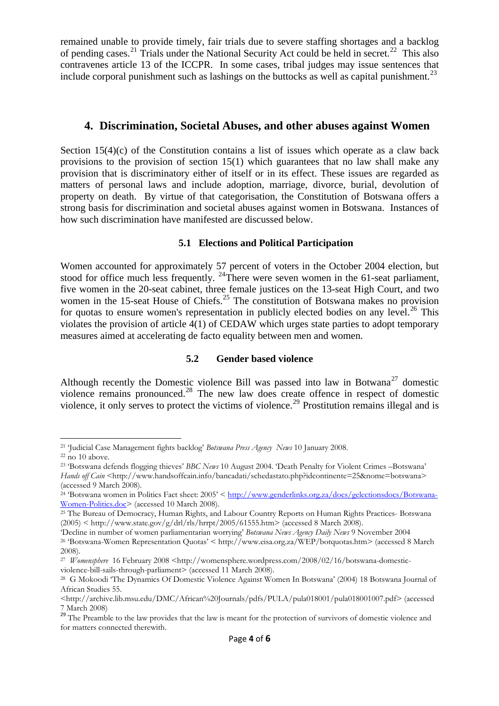remained unable to provide timely, fair trials due to severe staffing shortages and a backlog of pending cases.<sup>[21](#page-3-0)</sup> Trials under the National Security Act could be held in secret.<sup>[22](#page-3-1)</sup> This also contravenes article 13 of the ICCPR. In some cases, tribal judges may issue sentences that include corporal punishment such as lashings on the buttocks as well as capital punishment.<sup>[23](#page-3-2)</sup>

#### **4. Discrimination, Societal Abuses, and other abuses against Women**

Section  $15(4)(c)$  of the Constitution contains a list of issues which operate as a claw back provisions to the provision of section 15(1) which guarantees that no law shall make any provision that is discriminatory either of itself or in its effect. These issues are regarded as matters of personal laws and include adoption, marriage, divorce, burial, devolution of property on death. By virtue of that categorisation, the Constitution of Botswana offers a strong basis for discrimination and societal abuses against women in Botswana. Instances of how such discrimination have manifested are discussed below.

#### **5.1 Elections and Political Participation**

Women accounted for approximately 57 percent of voters in the October 2004 election, but stood for office much less frequently. <sup>[24](#page-3-3)</sup>There were seven women in the 61-seat parliament, five women in the 20-seat cabinet, three female justices on the 13-seat High Court, and two women in the 15-seat House of Chiefs.<sup>[25](#page-3-4)</sup> The constitution of Botswana makes no provision for quotas to ensure women's representation in publicly elected bodies on any level.<sup>[26](#page-3-5)</sup> This violates the provision of article 4(1) of CEDAW which urges state parties to adopt temporary measures aimed at accelerating de facto equality between men and women.

#### **5.2 Gender based violence**

Although recently the Domestic violence Bill was passed into law in Botwana<sup>[27](#page-3-6)</sup> domestic violence remains pronounced.<sup>[28](#page-3-7)</sup> The new law does create offence in respect of domestic violence, it only serves to protect the victims of violence.<sup>[29](#page-3-8)</sup> Prostitution remains illegal and is

<span id="page-3-0"></span> <sup>21</sup> Judicial Case Management fights backlog' *Botswana Press Agency News* 10 January 2008.<br><sup>22</sup> no 10 above.

<span id="page-3-2"></span><span id="page-3-1"></span><sup>23 &#</sup>x27;Botswana defends flogging thieves' *BBC News* 10 August 2004. 'Death Penalty for Violent Crimes –Botswana' *Hands off Cain* <http://www.handsoffcain.info/bancadati/schedastato.php?idcontinente=25&nome=botswana> (accessed 9 March 2008).

<span id="page-3-3"></span><sup>&</sup>lt;sup>24</sup> 'Botswana women in Politics Fact sheet:  $2005' < \frac{\text{http://www.genderlinks.org.za/docs/gelectionsdocs/Botswana-Women-Politics.doc> (accessed 10 March 2008).}$ 

<span id="page-3-4"></span><sup>&</sup>lt;sup>25</sup> The Bureau of Democracy, Human Rights, and Labour Country Reports on Human Rights Practices- Botswana (2005) < http://www.state.gov/g/drl/rls/hrrpt/2005/61555.htm> (accessed 8 March 2008).<br>
Decline in number of women parliamentarian worrying' Botswana News Agency Daily News 9 November 2004

<span id="page-3-5"></span><sup>&</sup>lt;sup>26</sup> 'Botswana-Women Representation Quotas' < http://www.eisa.org.za/WEP/botquotas.htm> (accessed 8 March 2008).

<span id="page-3-6"></span><sup>&</sup>lt;sup>27</sup> *Womensphere* 16 February 2008 <http://womensphere.wordpress.com/2008/02/16/botswana-domesticviolence-bill-sails-through-parliament> (accessed 11 March 2008).

<span id="page-3-7"></span><sup>28</sup> G Mokoodi 'The Dynamics Of Domestic Violence Against Women In Botswana' (2004) 18 Botswana Journal of African Studies 55.

<sup>&</sup>lt;http://archive.lib.msu.edu/DMC/African%20Journals/pdfs/PULA/pula018001/pula018001007.pdf> (accessed 7 March 2008)

<span id="page-3-8"></span><sup>&</sup>lt;sup>29</sup> The Preamble to the law provides that the law is meant for the protection of survivors of domestic violence and for matters connected therewith.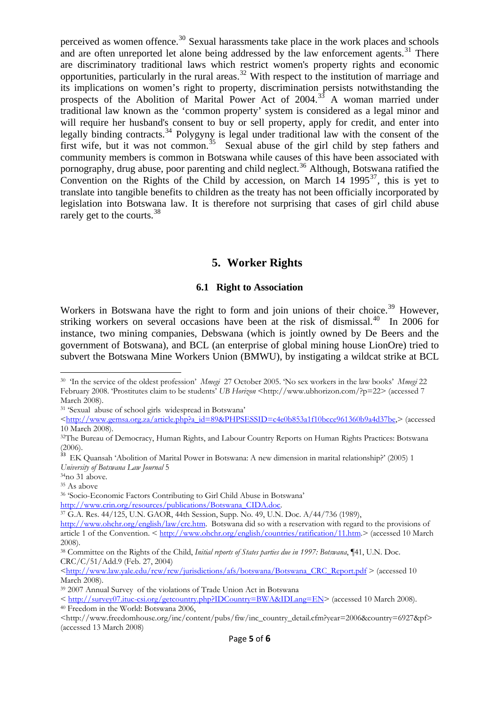perceived as women offence.<sup>[30](#page-4-0)</sup> Sexual harassments take place in the work places and schools and are often unreported let alone being addressed by the law enforcement agents.<sup>[31](#page-4-1)</sup> There are discriminatory traditional laws which restrict women's property rights and economic opportunities, particularly in the rural areas.[32](#page-4-2) With respect to the institution of marriage and its implications on women's right to property, discrimination persists notwithstanding the prospects of the Abolition of Marital Power Act of 2004.<sup>35</sup> A woman married under traditional law known as the 'common property' system is considered as a legal minor and will require her husband's consent to buy or sell property, apply for credit, and enter into legally binding contracts.<sup>[34](#page-4-4)</sup> Polygyny is legal under traditional law with the consent of the first wife, but it was not common.<sup>[35](#page-4-5)</sup> Sexual abuse of the girl child by step fathers and community members is common in Botswana while causes of this have been associated with pornography, drug abuse, poor parenting and child neglect.<sup>[36](#page-4-6)</sup> Although, Botswana ratified the Convention on the Rights of the Child by accession, on March  $14$  1995<sup>[37](#page-4-7)</sup>, this is yet to translate into tangible benefits to children as the treaty has not been officially incorporated by legislation into Botswana law. It is therefore not surprising that cases of girl child abuse rarely get to the courts.<sup>[38](#page-4-8)</sup>

#### **5. Worker Rights**

#### **6.1 Right to Association**

Workers in Botswana have the right to form and join unions of their choice.<sup>[39](#page-4-9)</sup> However, striking workers on several occasions have been at the risk of dismissal. $^{40}$  $^{40}$  $^{40}$  In 2006 for instance, two mining companies, Debswana (which is jointly owned by De Beers and the government of Botswana), and BCL (an enterprise of global mining house LionOre) tried to subvert the Botswana Mine Workers Union (BMWU), by instigating a wildcat strike at BCL

<span id="page-4-0"></span><sup>30 &#</sup>x27;In the service of the oldest profession' *Mmegi* 27 October 2005. 'No sex workers in the law books' *Mmegi* 22 February 2008. 'Prostitutes claim to be students<sup>'</sup> *UB Horizon* <http://www.ubhorizon.com/?p=22> (accessed 7) March 2008).

<span id="page-4-1"></span><sup>31 &#</sup>x27;Sexual abuse of school girls widespread in Botswana'

<sup>&</sup>lt;[http://www.gemsa.org.za/article.php?a\\_id=89&PHPSESSID=c4e0b853a1f10bcce961360b9a4d37be,](http://www.gemsa.org.za/article.php?a_id=89&PHPSESSID=c4e0b853a1f10bcce961360b9a4d37be)> (accessed 10 March 2008).

<span id="page-4-2"></span><sup>32</sup>The Bureau of Democracy, Human Rights, and Labour Country Reports on Human Rights Practices: Botswana (2006).

<span id="page-4-3"></span><sup>&</sup>lt;sup>33</sup> EK Quansah 'Abolition of Marital Power in Botswana: A new dimension in marital relationship?' (2005) 1 *University of Botswana Law Journal* 5

<sup>34</sup>no 31 above.

<span id="page-4-5"></span><span id="page-4-4"></span><sup>&</sup>lt;sup>35</sup> As above

<span id="page-4-6"></span><sup>&</sup>lt;sup>36</sup> 'Socio-Economic Factors Contributing to Girl Child Abuse in Botswana'<br>http://www.crin.org/resources/publications/Botswana\_CIDA.doc

 $h^3$  G.A. Res. 44/125, U.N. GAOR, 44th Session, Supp. No. 49, U.N. Doc. A/44/736 (1989),

<span id="page-4-7"></span>[http://www.ohchr.org/english/law/crc.htm.](http://www.ohchr.org/english/law/crc.htm) Botswana did so with a reservation with regard to the provisions of article 1 of the Convention. <<http://www.ohchr.org/english/countries/ratification/11.htm>.> (accessed 10 March 2008).

<span id="page-4-8"></span><sup>38</sup> Committee on the Rights of the Child, *Initial reports of States parties due in 1997: Botswana*, ¶41, U.N. Doc. CRC/C/51/Add.9 (Feb. 27, 2004)

<sup>&</sup>lt;[http://www.law.yale.edu/rcw/rcw/jurisdictions/afs/botswana/Botswana\\_CRC\\_Report.pdf](http://www.law.yale.edu/rcw/rcw/jurisdictions/afs/botswana/Botswana_CRC_Report.pdf) > (accessed 10 March 2008).

<span id="page-4-9"></span><sup>39 2007</sup> Annual Survey of the violations of Trade Union Act in Botswana

<sup>&</sup>lt;<http://survey07.ituc-csi.org/getcountry.php?IDCountry=BWA&IDLang=EN>> (accessed 10 March 2008). 40 Freedom in the World: Botswana 2006,

<span id="page-4-10"></span><sup>&</sup>lt;http://www.freedomhouse.org/inc/content/pubs/fiw/inc\_country\_detail.cfm?year=2006&country=6927&pf> (accessed 13 March 2008)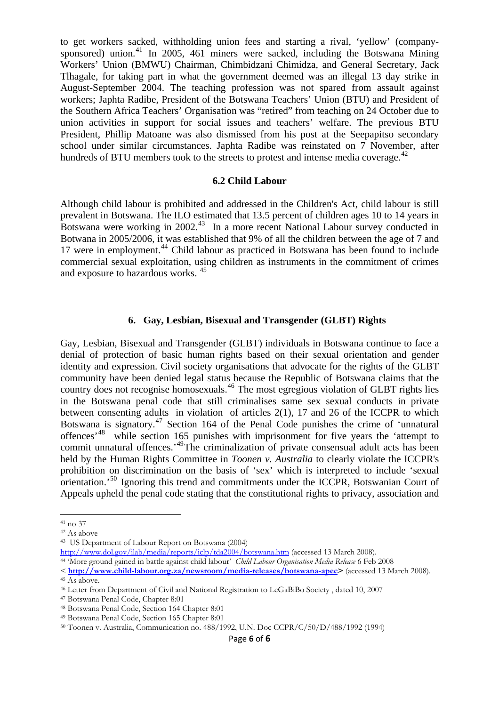to get workers sacked, withholding union fees and starting a rival, 'yellow' (company-sponsored) union.<sup>[41](#page-5-0)</sup> In 2005, 461 miners were sacked, including the Botswana Mining Workers' Union (BMWU) Chairman, Chimbidzani Chimidza, and General Secretary, Jack Tlhagale, for taking part in what the government deemed was an illegal 13 day strike in August-September 2004. The teaching profession was not spared from assault against workers; Japhta Radibe, President of the Botswana Teachers' Union (BTU) and President of the Southern Africa Teachers' Organisation was "retired" from teaching on 24 October due to union activities in support for social issues and teachers' welfare. The previous BTU President, Phillip Matoane was also dismissed from his post at the Seepapitso secondary school under similar circumstances. Japhta Radibe was reinstated on 7 November, after hundreds of BTU members took to the streets to protest and intense media coverage.<sup>[42](#page-5-1)</sup>

#### **6.2 Child Labour**

Although child labour is prohibited and addressed in the Children's Act, child labour is still prevalent in Botswana. The ILO estimated that 13.5 percent of children ages 10 to 14 years in Botswana were working in 2002.<sup>43</sup> In a more recent National Labour survey conducted in Botwana in 2005/2006, it was established that 9% of all the children between the age of 7 and 17 were in employment.<sup>[44](#page-5-3)</sup> Child labour as practiced in Botswana has been found to include commercial sexual exploitation, using children as instruments in the commitment of crimes and exposure to hazardous works. [45](#page-5-4)

#### **6. Gay, Lesbian, Bisexual and Transgender (GLBT) Rights**

Gay, Lesbian, Bisexual and Transgender (GLBT) individuals in Botswana continue to face a denial of protection of basic human rights based on their sexual orientation and gender identity and expression. Civil society organisations that advocate for the rights of the GLBT community have been denied legal status because the Republic of Botswana claims that the country does not recognise homosexuals.<sup>[46](#page-5-5)</sup> The most egregious violation of GLBT rights lies in the Botswana penal code that still criminalises same sex sexual conducts in private between consenting adults in violation of articles 2(1), 17 and 26 of the ICCPR to which Botswana is signatory.<sup>[47](#page-5-6)</sup> Section 164 of the Penal Code punishes the crime of 'unnatural offences'[48](#page-5-7) while section 165 punishes with imprisonment for five years the 'attempt to commit unnatural offences.<sup>[49](#page-5-8)</sup>The criminalization of private consensual adult acts has been held by the Human Rights Committee in *Toonen v. Australia* to clearly violate the ICCPR's prohibition on discrimination on the basis of 'sex' which is interpreted to include 'sexual orientation.'[50](#page-5-9) Ignoring this trend and commitments under the ICCPR, Botswanian Court of Appeals upheld the penal code stating that the constitutional rights to privacy, association and

<span id="page-5-0"></span><sup>41</sup> no 37

<span id="page-5-1"></span><sup>42</sup> As above

<span id="page-5-2"></span><sup>&</sup>lt;sup>43</sup> US Department of Labour Report on Botswana (2004)<br>http://www.dol.gov/ilab/media/reports/iclp/tda2004/botswana.htm (accessed 13 March 2008).

<span id="page-5-3"></span><sup>&</sup>lt;sup>44</sup> More ground gained in battle against child labour' *Child Labour Organisation Media Release* 6 Feb 2008

<sup>&</sup>lt;**http://www.child-labour.org.za/newsroom/media-releases/botswana-apec>** (accessed 13 March 2008). 45 As above.

<span id="page-5-5"></span><span id="page-5-4"></span><sup>46</sup> Letter from Department of Civil and National Registration to LeGaBiBo Society , dated 10, 2007 47 Botswana Penal Code, Chapter 8:01

<span id="page-5-7"></span><span id="page-5-6"></span><sup>48</sup> Botswana Penal Code, Section 164 Chapter 8:01

<span id="page-5-8"></span><sup>49</sup> Botswana Penal Code, Section 165 Chapter 8:01

<span id="page-5-9"></span><sup>50</sup> Toonen v. Australia, Communication no. 488/1992, U.N. Doc CCPR/C/50/D/488/1992 (1994)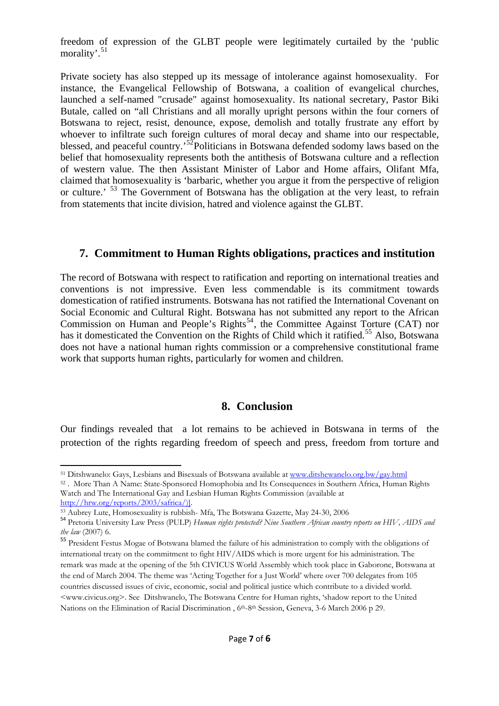freedom of expression of the GLBT people were legitimately curtailed by the 'public morality'.<sup>[51](#page-6-0)</sup>

Private society has also stepped up its message of intolerance against homosexuality. For instance, the Evangelical Fellowship of Botswana, a coalition of evangelical churches, launched a self-named "crusade" against homosexuality. Its national secretary, Pastor Biki Butale, called on "all Christians and all morally upright persons within the four corners of Botswana to reject, resist, denounce, expose, demolish and totally frustrate any effort by whoever to infiltrate such foreign cultures of moral decay and shame into our respectable, blessed, and peaceful country.<sup>[52](#page-6-1)</sup>Politicians in Botswana defended sodomy laws based on the belief that homosexuality represents both the antithesis of Botswana culture and a reflection of western value. The then Assistant Minister of Labor and Home affairs, Olifant Mfa, claimed that homosexuality is 'barbaric, whether you argue it from the perspective of religion or culture.<sup>[53](#page-6-2)</sup> The Government of Botswana has the obligation at the very least, to refrain from statements that incite division, hatred and violence against the GLBT.

# **7. Commitment to Human Rights obligations, practices and institution**

The record of Botswana with respect to ratification and reporting on international treaties and conventions is not impressive. Even less commendable is its commitment towards domestication of ratified instruments. Botswana has not ratified the International Covenant on Social Economic and Cultural Right. Botswana has not submitted any report to the African Commission on Human and People's Rights<sup>[54](#page-6-3)</sup>, the Committee Against Torture (CAT) nor has it domesticated the Convention on the Rights of Child which it ratified.<sup>[55](#page-6-4)</sup> Also, Botswana does not have a national human rights commission or a comprehensive constitutional frame work that supports human rights, particularly for women and children.

# **8. Conclusion**

Our findings revealed that a lot remains to be achieved in Botswana in terms of the protection of the rights regarding freedom of speech and press, freedom from torture and

 <sup>51</sup> Ditshwanelo: Gays, Lesbians and Bisexuals of Botswana available at [www.ditshewanelo.org.bw/gay.html](http://www.ditshewanelo.org.bw/gay.html) <sup>52</sup>. More Than A Name: State-Sponsored Homophobia and Its Consequences in Southern Africa, Human Rights

<span id="page-6-1"></span><span id="page-6-0"></span>Watch and The International Gay and Lesbian Human Rights Commission (available at

<span id="page-6-3"></span><span id="page-6-2"></span>

[http://hrw.org/reports/2003/safrica/\)\]](http://hrw.org/reports/2003/safrica/)%5D).<br><sup>53</sup> Aubrey Lute, Homosexuality is rubbish- Mfa, The Botswana Gazette, May 24-30, 2006<br><sup>54</sup> Pretoria University Law Press (PULP) *Human rights protected? Nine Southern African countr the law* (2007) 6.

<span id="page-6-4"></span><sup>55</sup> President Festus Mogae of Botswana blamed the failure of his administration to comply with the obligations of international treaty on the commitment to fight HIV/AIDS which is more urgent for his administration. The remark was made at the opening of the 5th CIVICUS World Assembly which took place in Gaborone, Botswana at the end of March 2004. The theme was 'Acting Together for a Just World' where over 700 delegates from 105 countries discussed issues of civic, economic, social and political justice which contribute to a divided world. <www.civicus.org>. See Ditshwanelo, The Botswana Centre for Human rights, 'shadow report to the United Nations on the Elimination of Racial Discrimination, 6<sup>th</sup>-8<sup>th</sup> Session, Geneva, 3-6 March 2006 p 29.